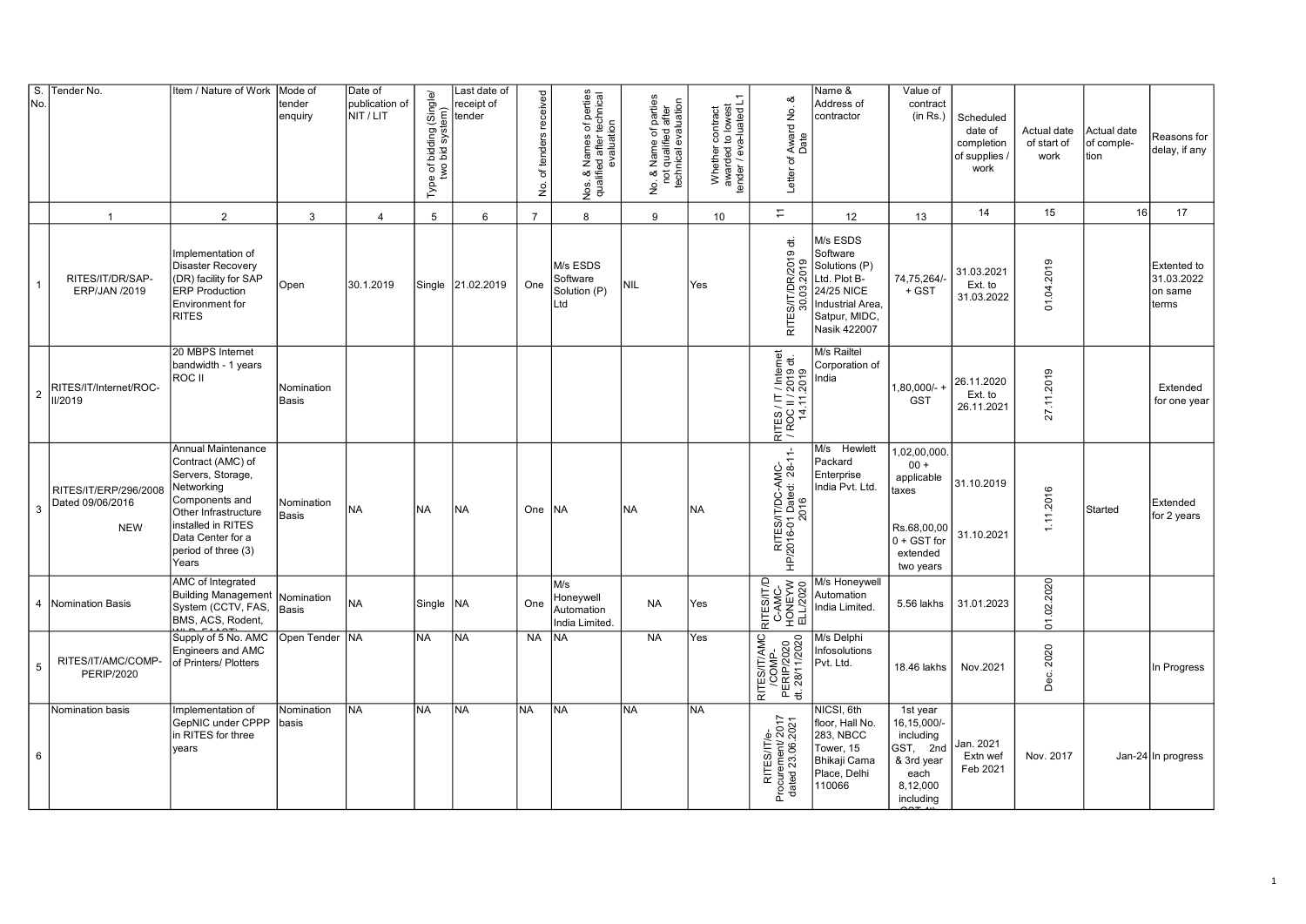| S.<br>No.       | Tender No.                                              | Item / Nature of Work                                                                                                                                                                           | Mode of<br>tender<br>enquiry | Date of<br>publication of<br>NIT / LIT | Type of bidding (Single/<br>two bid system) | Last date of<br>receipt of<br>tender | No. of tenders received | Nos. & Names of perties<br>qualified after technical<br>evaluation | No. & Name of parties<br>not qualified after<br>technical evaluation | Whether contract<br>awarded to lowest<br>tender / eva-luated L1 | Letter of Award No. &<br>Date                                              | Name &<br>Address of<br>contractor                                                                                       | Value of<br>contract<br>(in Rs.)                                                                      | Scheduled<br>date of<br>completion<br>of supplies /<br>work | Actual date<br>of start of<br>work | Actual date<br>of comple-<br>tion | Reasons for<br>delay, if any                         |
|-----------------|---------------------------------------------------------|-------------------------------------------------------------------------------------------------------------------------------------------------------------------------------------------------|------------------------------|----------------------------------------|---------------------------------------------|--------------------------------------|-------------------------|--------------------------------------------------------------------|----------------------------------------------------------------------|-----------------------------------------------------------------|----------------------------------------------------------------------------|--------------------------------------------------------------------------------------------------------------------------|-------------------------------------------------------------------------------------------------------|-------------------------------------------------------------|------------------------------------|-----------------------------------|------------------------------------------------------|
|                 | $\overline{1}$                                          | 2                                                                                                                                                                                               | $\mathbf{3}$                 | $\overline{4}$                         | 5                                           | 6                                    | $\overline{7}$          | 8                                                                  | 9                                                                    | 10                                                              | $\overline{\overline{a}}$                                                  | 12                                                                                                                       | 13                                                                                                    | 14                                                          | 15                                 | 16                                | 17                                                   |
| $\overline{1}$  | RITES/IT/DR/SAP-<br>ERP/JAN /2019                       | Implementation of<br><b>Disaster Recovery</b><br>(DR) facility for SAP<br><b>ERP Production</b><br>Environment for<br><b>RITES</b>                                                              | Open                         | 30.1.2019                              | Single                                      | 21.02.2019                           | One                     | M/s ESDS<br>Software<br>Solution (P)<br>Ltd                        | NIL                                                                  | Yes                                                             | RITES/IT/DR/2019 dt.                                                       | M/s ESDS<br>Software<br>Solutions (P)<br>Ltd. Plot B-<br>24/25 NICE<br>Industrial Area,<br>Satpur, MIDC,<br>Nasik 422007 | 74,75,264/<br>$+$ GST                                                                                 | 31.03.2021<br>Ext. to<br>31.03.2022                         | 01.04.2019                         |                                   | <b>Extented to</b><br>31.03.2022<br>on same<br>terms |
| $\overline{2}$  | RITES/IT/Internet/ROC-<br>II/2019                       | 20 MBPS Internet<br>bandwidth - 1 years<br>ROC II                                                                                                                                               | Nomination<br>Basis          |                                        |                                             |                                      |                         |                                                                    |                                                                      |                                                                 | 7 Internet<br>2019 dt.<br>2019<br>RITES / IT<br> / ROC II / 2<br>  14.11.2 | M/s Railtel<br>Corporation of<br>India                                                                                   | -80,000/<br><b>GST</b>                                                                                | 26.11.2020<br>Ext. to<br>26.11.2021                         | 27.11.2019                         |                                   | Extended<br>for one year                             |
| 3               | RITES/IT/ERP/296/2008<br>Dated 09/06/2016<br><b>NEW</b> | Annual Maintenance<br>Contract (AMC) of<br>Servers, Storage,<br>Networking<br>Components and<br>Other Infrastructure<br>installed in RITES<br>Data Center for a<br>period of three (3)<br>Years | Nomination<br><b>Basis</b>   | <b>NA</b>                              | <b>NA</b>                                   | <b>NA</b>                            | One INA                 |                                                                    | INA                                                                  | <b>NA</b>                                                       | RITES/IT/DC-AMC-<br>HP/2016-01 Dated: 28-11-<br>2016                       | M/s Hewlett<br>Packard<br>Enterprise<br>India Pvt. Ltd.                                                                  | 1,02,00,000<br>$00 +$<br>applicable<br>taxes<br>Rs.68,00,00<br>$0 + GST$ for<br>extended<br>two years | 31.10.2019<br>31.10.2021                                    | 1.11.2016                          | Started                           | Extended<br>for 2 years                              |
| 4               | Nomination Basis                                        | AMC of Integrated<br>Building Management<br>System (CCTV, FAS,<br>BMS, ACS, Rodent,                                                                                                             | Nomination<br><b>Basis</b>   | <b>NA</b>                              | Single                                      | NA.                                  | One                     | M/s<br>Honeywell<br>Automation<br>India Limited.                   | <b>NA</b>                                                            | Yes                                                             | RITES/ITD<br>C-AMC-<br>HONEYW<br>ELL/2020                                  | M/s Honeywell<br>Automation<br>India Limited.                                                                            | 5.56 lakhs                                                                                            | 31.01.2023                                                  | 01.02.2020                         |                                   |                                                      |
| $5\phantom{.0}$ | RITES/IT/AMC/COMP-<br><b>PERIP/2020</b>                 | Supply of 5 No. AMC<br>Engineers and AMC<br>of Printers/ Plotters                                                                                                                               | Open Tender NA               |                                        | <b>NA</b>                                   | <b>NA</b>                            | <b>NA</b>               | lna                                                                | <b>NA</b>                                                            | Yes                                                             | RITES/IT/AMC<br>/COMP-<br>PERIP/2020<br>dt. 28/11/2020                     | M/s Delphi<br>Infosolutions<br>Pvt. Ltd.                                                                                 | 18.46 lakhs                                                                                           | Nov.2021                                                    | 2020<br>Dec.                       |                                   | In Progress                                          |
| 6               | Nomination basis                                        | Implementation of<br>GepNIC under CPPP<br>in RITES for three<br>years                                                                                                                           | Nomination<br>basis          | <b>NA</b>                              | <b>NA</b>                                   | NA                                   | <b>NA</b>               | <b>NA</b>                                                          | <b>NA</b>                                                            | <b>NA</b>                                                       | RITES/IT/e-<br>Procurement/ 2017<br>dated 23.06.2021                       | NICSI, 6th<br>floor, Hall No.<br>283, NBCC<br>Tower, 15<br>Bhikaji Cama<br>Place, Delhi<br>110066                        | 1st year<br>16,15,000/-<br>including<br>GST, 2nd<br>& 3rd year<br>each<br>8,12,000<br>including       | Jan. 2021<br>Extn wef<br>Feb 2021                           | Nov. 2017                          |                                   | Jan-24 In progress                                   |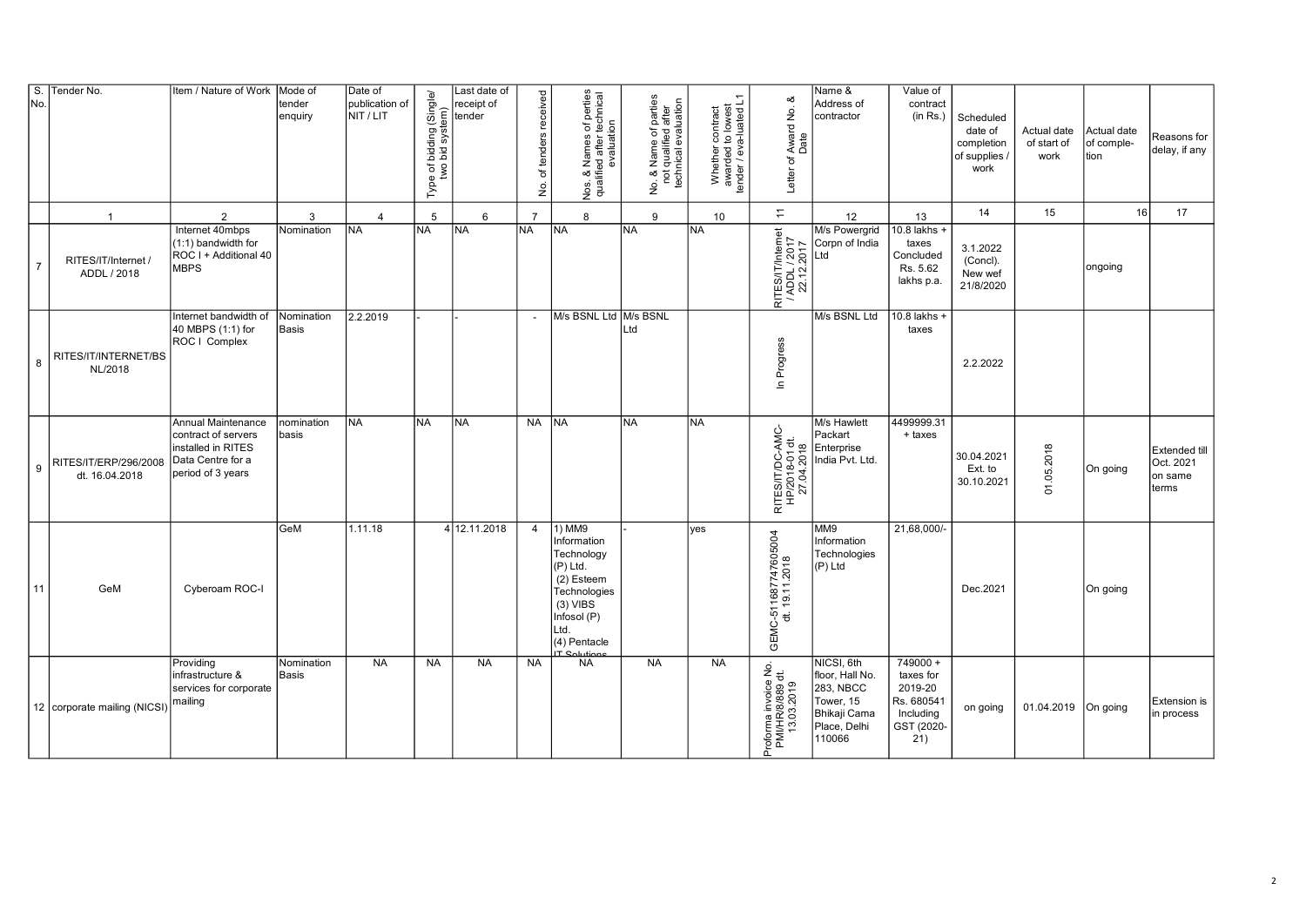| $S$ .<br>No.   | Tender No.                              | Item / Nature of Work                                                                                     | Mode of<br>tender<br>enquiry | Date of<br>publication of<br>NIT / LIT | Type of bidding (Single/<br>two bid system) | Last date of<br>receipt of<br>tender | of tenders received<br>$\frac{1}{2}$ | Nos. & Names of perties<br>qualified after technical<br>evaluation                                                                                 | No. & Name of parties<br>not qualified after<br>technical evaluation | Whether contract<br>awarded to lowest<br>tender / eva-luated L1 | ∞<br>Letter of Award No.<br>Date                         | Name &<br>Address of<br>contractor                                                                | Value of<br>contract<br>(in Rs.)                                                   | Scheduled<br>date of<br>completion<br>of supplies<br>work | Actual date<br>of start of<br>work | Actual date<br>of comple-<br>tion | Reasons for<br>delay, if any                   |
|----------------|-----------------------------------------|-----------------------------------------------------------------------------------------------------------|------------------------------|----------------------------------------|---------------------------------------------|--------------------------------------|--------------------------------------|----------------------------------------------------------------------------------------------------------------------------------------------------|----------------------------------------------------------------------|-----------------------------------------------------------------|----------------------------------------------------------|---------------------------------------------------------------------------------------------------|------------------------------------------------------------------------------------|-----------------------------------------------------------|------------------------------------|-----------------------------------|------------------------------------------------|
|                | $\overline{1}$                          | $\overline{2}$                                                                                            | 3                            | $\overline{4}$                         | 5                                           | $6\phantom{.}6$                      | $\overline{7}$                       | 8                                                                                                                                                  | 9                                                                    | 10                                                              | $\stackrel{\scriptstyle -}{\scriptstyle \scriptstyle -}$ | 12                                                                                                | 13                                                                                 | 14                                                        | 15                                 | 16                                | 17                                             |
| $\overline{7}$ | RITES/IT/Internet<br>ADDL / 2018        | Internet 40mbps<br>(1:1) bandwidth for<br>ROC I + Additional 40<br><b>MBPS</b>                            | Nomination                   | <b>INA</b>                             | <b>NA</b>                                   | <b>INA</b>                           | <b>NA</b>                            | <b>NA</b>                                                                                                                                          | <b>INA</b>                                                           | INA.                                                            | RITES/IT/Internet<br>/ ADDL / 2017<br>22.12.2017         | M/s Powergrid<br>Corpn of India<br>_td                                                            | $10.8$ lakhs $-$<br>taxes<br>Concluded<br>Rs. 5.62<br>lakhs p.a.                   | 3.1.2022<br>(Concl).<br>New wef<br>21/8/2020              |                                    | ongoing                           |                                                |
| 8              | RITES/IT/INTERNET/BS<br>NL/2018         | Internet bandwidth of<br>40 MBPS (1:1) for<br>ROC   Complex                                               | Nomination<br>Basis          | 2.2.2019                               |                                             |                                      | $\sim$                               | M/s BSNL Ltd M/s BSNL                                                                                                                              | Ltd                                                                  |                                                                 | Progress<br>$\mathbf{u}$                                 | M/s BSNL Ltd                                                                                      | 10.8 lakhs +<br>taxes                                                              | 2.2.2022                                                  |                                    |                                   |                                                |
| 9              | RITES/IT/ERP/296/2008<br>dt. 16.04.2018 | Annual Maintenance<br>contract of servers<br>installed in RITES<br>Data Centre for a<br>period of 3 years | nomination<br>basis          | INA.                                   | NA.                                         | <b>INA</b>                           | NA INA                               |                                                                                                                                                    | <b>NA</b>                                                            | NA                                                              | RITES/IT/DC-AMC-<br>HP/2018-01 dt.<br>27.04.2018         | M/s Hawlett<br>Packart<br>Enterprise<br>India Pvt. Ltd.                                           | 4499999.31<br>+ taxes                                                              | 30.04.2021<br>Ext. to<br>30.10.2021                       | 01.05.2018                         | On going                          | Extended till<br>Oct. 2021<br>on same<br>terms |
| 11             | GeM                                     | Cyberoam ROC-I                                                                                            | GeM                          | 1.11.18                                |                                             | 4 12.11.2018                         | $\overline{4}$                       | 1) MM9<br>Information<br>Technology<br>$(P)$ Ltd.<br>(2) Esteem<br>Technologies<br>$(3)$ VIBS<br>Infosol (P)<br>Ltd.<br>(4) Pentacle<br>IT Colutio |                                                                      | ves                                                             | GEMC-511687747605004<br>dt. 19.11.2018                   | MM9<br>Information<br>Technologies<br>(P) Ltd                                                     | 21,68,000/-                                                                        | Dec.2021                                                  |                                    | On going                          |                                                |
|                | 12   corporate mailing (NICSI)          | Providing<br>infrastructure &<br>services for corporate<br>mailing                                        | Nomination<br>Basis          | <b>NA</b>                              | <b>NA</b>                                   | <b>NA</b>                            | <b>NA</b>                            | <b>NA</b>                                                                                                                                          | <b>NA</b>                                                            | <b>NA</b>                                                       | Proforma invoice No.<br>PMI/HR/8/889 dt.<br>13.03.2019   | NICSI, 6th<br>floor, Hall No.<br>283, NBCC<br>Tower, 15<br>Bhikaji Cama<br>Place, Delhi<br>110066 | $749000 +$<br>taxes for<br>2019-20<br>Rs. 680541<br>Including<br>GST (2020-<br>21) | on going                                                  | 01.04.2019 On going                |                                   | Extension is<br>in process                     |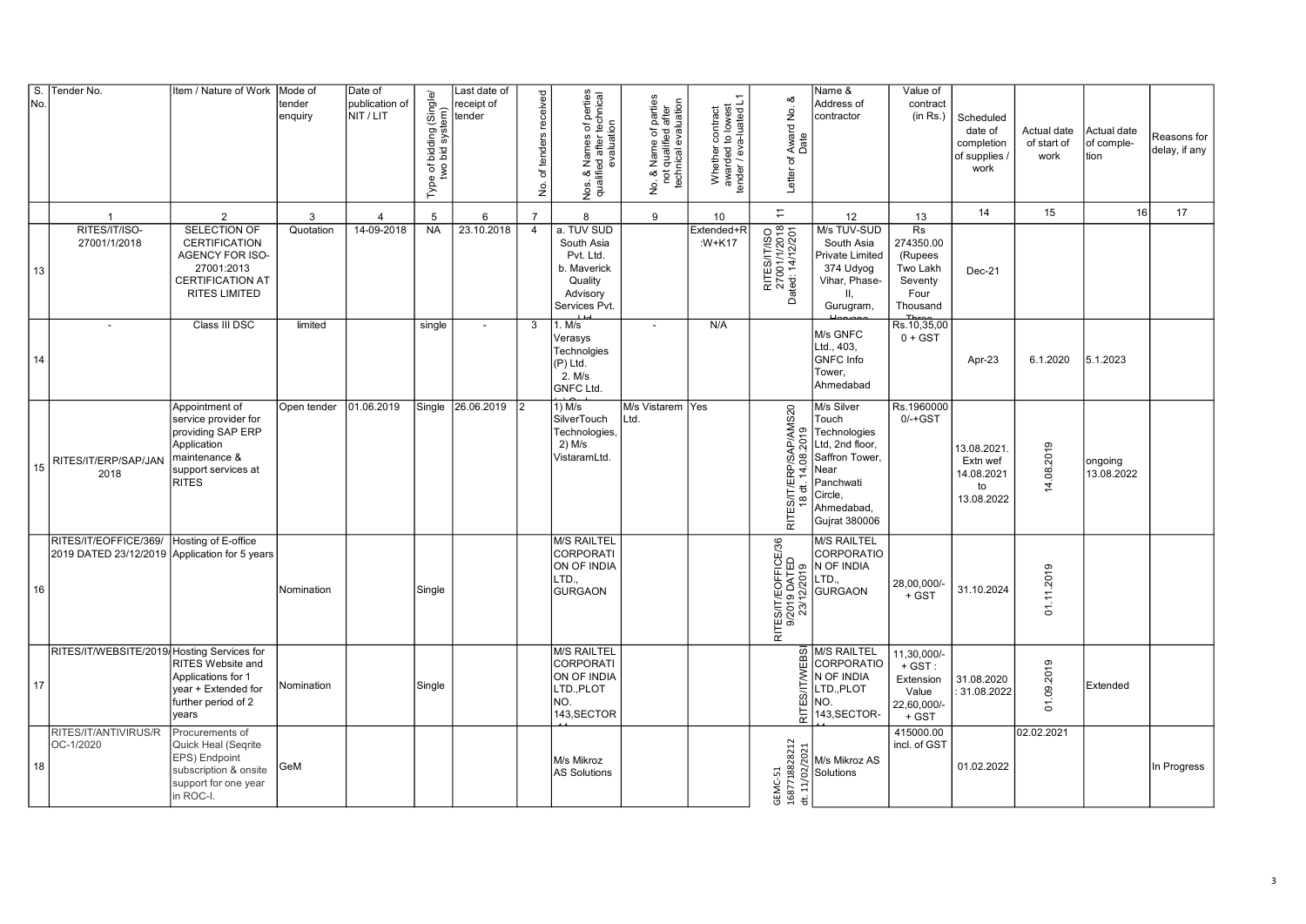| S.<br>No. | Tender No.                                                             | Item / Nature of Work                                                                                                              | Mode of<br>tender<br>enquiry | Date of<br>publication of<br>NIT / LIT | Type of bidding (Single/<br>two bid system) | Last date of<br>receipt of<br>tender | of tenders received<br>.<br>ع | Nos. & Names of perties<br>qualified after technical<br>evaluation                           | No. & Name of parties<br>not qualified after<br>technical evaluation<br>$\mathsf{\underline{\dot{g}}}$ | Whether contract<br>awarded to lowest<br>tender / eva-luated L1 | Letter of Award No. &<br>Date                            | Name &<br>Address of<br>contractor                                                                                                      | Value of<br>contract<br>(in Rs.)                                                                  | Scheduled<br>date of<br>completion<br>of supplies /<br>work | Actual date<br>of start of<br>work | Actual date<br>of comple-<br>ltion | Reasons for<br>delay, if any |
|-----------|------------------------------------------------------------------------|------------------------------------------------------------------------------------------------------------------------------------|------------------------------|----------------------------------------|---------------------------------------------|--------------------------------------|-------------------------------|----------------------------------------------------------------------------------------------|--------------------------------------------------------------------------------------------------------|-----------------------------------------------------------------|----------------------------------------------------------|-----------------------------------------------------------------------------------------------------------------------------------------|---------------------------------------------------------------------------------------------------|-------------------------------------------------------------|------------------------------------|------------------------------------|------------------------------|
|           | $\overline{1}$                                                         | $\overline{2}$                                                                                                                     | 3                            | $\overline{4}$                         | 5                                           | 6                                    | $\overline{7}$                | 8                                                                                            | 9                                                                                                      | 10                                                              | $\overline{\phantom{a}}$                                 | 12                                                                                                                                      | 13                                                                                                | 14                                                          | 15                                 | 16                                 | 17                           |
| 13        | RITES/IT/ISO-<br>27001/1/2018                                          | SELECTION OF<br><b>CERTIFICATION</b><br>AGENCY FOR ISO-<br>27001:2013<br><b>CERTIFICATION AT</b><br>RITES LIMITED                  | Quotation                    | 14-09-2018                             | <b>NA</b>                                   | 23.10.2018                           | $\overline{4}$                | a. TUV SUD<br>South Asia<br>Pvt. Ltd.<br>b. Maverick<br>Quality<br>Advisory<br>Services Pvt. |                                                                                                        | Extended+R<br>:W+K17                                            | RITES/IT/ISO<br>27001/1/2018<br>Dated: 14/12/201         | M/s TUV-SUD<br>South Asia<br>Private Limited<br>374 Udyog<br>Vihar, Phase-<br>Ш.<br>Gurugram,                                           | $\overline{\text{Rs}}$<br>274350.00<br>(Rupees<br>Two Lakh<br>Seventy<br>Four<br>Thousand<br>Thre | Dec-21                                                      |                                    |                                    |                              |
| 14        | $\overline{\phantom{a}}$                                               | Class III DSC                                                                                                                      | limited                      |                                        | single                                      | $\overline{\phantom{a}}$             | 3                             | 1. M/s<br>Verasys<br>Technolgies<br>(P) Ltd.<br>2. M/s<br>GNFC Ltd.                          | $\overline{\phantom{a}}$                                                                               | N/A                                                             |                                                          | M/s GNFC<br>Ltd., 403,<br><b>GNFC</b> Info<br>Tower,<br>Ahmedabad                                                                       | Rs.10,35,00<br>$0 + GST$                                                                          | Apr-23                                                      | 6.1.2020                           | 5.1.2023                           |                              |
| 15        | RITES/IT/ERP/SAP/JAN<br>2018                                           | Appointment of<br>service provider for<br>providing SAP ERP<br>Application<br>maintenance &<br>support services at<br><b>RITES</b> | Open tender                  | 01.06.2019                             | Single                                      | 26.06.2019                           | I <sub>2</sub>                | $1)$ M/s<br>SilverTouch<br>Technologies,<br>$2)$ M/s<br>VistaramLtd.                         | M/s Vistarem Yes<br>Ltd.                                                                               |                                                                 | RITES/IT/ERP/SAP/AMS20<br>თ<br>20<br>$\frac{8}{2}$<br>ᇴ  | M/s Silver<br>Touch<br>Technologies<br>Ltd, 2nd floor,<br>Saffron Tower,<br>Near<br>Panchwati<br>Circle,<br>Ahmedabad,<br>Gujrat 380006 | Rs.1960000<br>$0/-+GST$                                                                           | 13.08.2021.<br>Extn wef<br>14.08.2021<br>to<br>13.08.2022   | 14.08.2019                         | ongoing<br>13.08.2022              |                              |
| 16        | RITES/IT/EOFFICE/369/<br>2019 DATED 23/12/2019 Application for 5 years | Hosting of E-office                                                                                                                | Nomination                   |                                        | Single                                      |                                      |                               | <b>M/S RAILTEL</b><br><b>CORPORATI</b><br>ON OF INDIA<br>LTD<br><b>GURGAON</b>               |                                                                                                        |                                                                 | RITES/IT/EOFFICE/36  <br>  9/2019 DATED<br> - 23/12/2019 | <b>M/S RAILTEL</b><br>CORPORATIO<br>N OF INDIA<br>LTD.,<br><b>GURGAON</b>                                                               | 28,00,000/<br>+ GST                                                                               | 31.10.2024                                                  | 01.11.2019                         |                                    |                              |
| 17        | RITES/IT/WEBSITE/2019 Hosting Services for                             | <b>RITES Website and</b><br>Applications for 1<br>year + Extended for<br>further period of 2<br>years                              | Nomination                   |                                        | Single                                      |                                      |                               | <b>M/S RAILTEL</b><br><b>CORPORATI</b><br>ON OF INDIA<br>LTD.,PLOT<br>NO.<br>143, SECTOR     |                                                                                                        |                                                                 | ळ<br>ш<br>등                                              | M/S RAILTEL<br>CORPORATIO<br>N OF INDIA<br>LTD., PLOT<br>NO.<br>143, SECTOR-                                                            | 11,30,000/-<br>$+$ GST:<br>Extension<br>Value<br>22,60,000/-<br>+ GST                             | 31.08.2020<br>31.08.2022                                    | 01.09.2019                         | Extended                           |                              |
| 18        | RITES/IT/ANTIVIRUS/R<br>OC-1/2020                                      | Procurements of<br>Quick Heal (Seqrite<br>EPS) Endpoint<br>subscription & onsite<br>support for one year<br>in ROC-I.              | GeM                          |                                        |                                             |                                      |                               | M/s Mikroz<br><b>AS Solutions</b>                                                            |                                                                                                        |                                                                 | GEMC-51<br>1687718828212                                 | $\frac{7}{20}$<br>M/s Mikroz AS<br>Solutions<br>$\frac{1}{2}$<br>$\frac{1}{2}$                                                          | 415000.00<br>incl. of GST                                                                         | 01.02.2022                                                  | 02.02.2021                         |                                    | In Progress                  |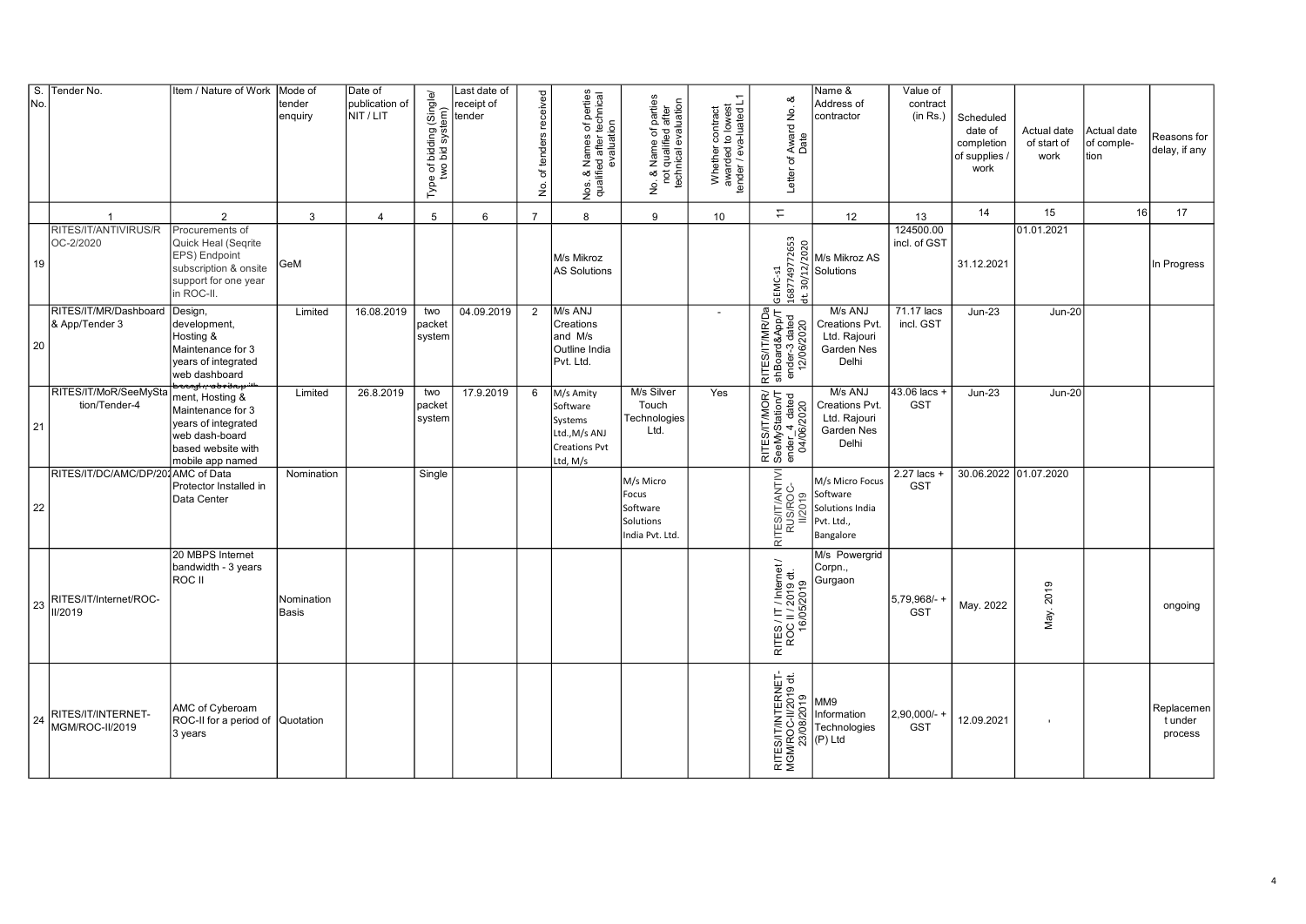| No | S. Tender No.                           | Item / Nature of Work                                                                                                   | Mode of<br>tender<br>enquiry | Date of<br>publication of<br>NIT / LIT | Type of bidding (Single/<br>two bid system) | Last date of<br>receipt of<br>tender | No. of tenders received | Nos. & Names of perties<br>qualified after technical<br>evaluation                    | No. & Name of parties<br>not qualified after<br>technical evaluation<br>б.<br>2 | Whether contract<br>awarded to lowest<br>tender / eva-luated L1 | ∞<br>Letter of Award No.<br>Date                               | Name &<br>Address of<br>contractor                                                                    | Value of<br>contract<br>(in Rs.) | Scheduled<br>date of<br>completion<br>of supplies /<br>work | Actual date<br>of start of<br>work | Actual date<br>of comple-<br>tion | Reasons for<br>delay, if any     |
|----|-----------------------------------------|-------------------------------------------------------------------------------------------------------------------------|------------------------------|----------------------------------------|---------------------------------------------|--------------------------------------|-------------------------|---------------------------------------------------------------------------------------|---------------------------------------------------------------------------------|-----------------------------------------------------------------|----------------------------------------------------------------|-------------------------------------------------------------------------------------------------------|----------------------------------|-------------------------------------------------------------|------------------------------------|-----------------------------------|----------------------------------|
|    | $\overline{1}$                          | $\overline{2}$                                                                                                          | 3                            | $\overline{4}$                         | 5                                           | 6                                    | $\overline{7}$          | 8                                                                                     | 9                                                                               | 10                                                              | $\overline{\mathbb{H}}$                                        | 12                                                                                                    | 13                               | 14                                                          | 15                                 | 16                                | 17                               |
| 19 | RITES/IT/ANTIVIRUS/R<br>OC-2/2020       | Procurements of<br>Quick Heal (Seqrite<br>EPS) Endpoint<br>subscription & onsite<br>support for one year<br>in ROC-II.  | GeM                          |                                        |                                             |                                      |                         | M/s Mikroz<br><b>AS Solutions</b>                                                     |                                                                                 |                                                                 | GEMC-s1<br>1687749772653<br>$\ddot{a}$                         | on<br>M/s Mikroz<br>Solutions<br>Solutions<br>Discriptions<br>M/s Mikroz AS                           | 124500.00<br>incl. of GST        | 31.12.2021                                                  | 01.01.2021                         |                                   | In Progress                      |
| 20 | RITES/IT/MR/Dashboard<br>& App/Tender 3 | Design,<br>development,<br>Hosting &<br>Maintenance for 3<br>years of integrated<br>web dashboard                       | Limited                      | 16.08.2019                             | two<br>packet<br>system                     | 04.09.2019                           | $\overline{2}$          | M/s ANJ<br>Creations<br>and M/s<br>Outline India<br>Pvt. Ltd.                         |                                                                                 | $\overline{\phantom{a}}$                                        | RITES/IT/MR/Da<br>shBoard&App/T<br>ender-3 dated<br>12/06/2020 | M/s ANJ<br>Creations Pvt.<br>Ltd. Rajouri<br>Garden Nes<br>Delhi                                      | 71.17 lacs<br>incl. GST          | $Jun-23$                                                    | <b>Jun-20</b>                      |                                   |                                  |
| 21 | RITES/IT/MoR/SeeMySta<br>tion/Tender-4  | ment, Hosting &<br>Maintenance for 3<br>years of integrated<br>web dash-board<br>based website with<br>mobile app named | Limited                      | 26.8.2019                              | two<br>packet<br>system                     | 17.9.2019                            | 6                       | M/s Amity<br>Software<br>Systems<br>Ltd., M/s ANJ<br><b>Creations Pvt</b><br>Ltd, M/s | M/s Silver<br>Touch<br>Technologies<br>Ltd.                                     | Yes                                                             | RITES/IT/MOR/<br>SeeMyStation/T<br>ender_4 dated<br>04/06/2020 | M/s ANJ<br>Creations Pvt.<br>Ltd. Rajouri<br>Garden Nes<br>Delhi                                      | 43.06 lacs<br><b>GST</b>         | $Jun-23$                                                    | <b>Jun-20</b>                      |                                   |                                  |
| 22 | RITES/IT/DC/AMC/DP/201AMC of Data       | Protector Installed in<br>Data Center                                                                                   | Nomination                   |                                        | Single                                      |                                      |                         |                                                                                       | M/s Micro<br>Focus<br>Software<br>Solutions<br>India Pvt. Ltd.                  |                                                                 | RITES/IT/ANTIVI<br>RUS/ROC-                                    | M/s Micro Focus<br>$\frac{1}{2}$ $\frac{1}{2}$ Software<br>Solutions India<br>Pvt. Ltd.,<br>Bangalore | $2.27$ lacs<br><b>GST</b>        | 30.06.2022 01.07.2020                                       |                                    |                                   |                                  |
| 23 | RITES/IT/Internet/ROC-<br>II/2019       | 20 MBPS Internet<br>bandwidth - 3 years<br>ROC II                                                                       | Nomination<br><b>Basis</b>   |                                        |                                             |                                      |                         |                                                                                       |                                                                                 |                                                                 | RITES / IT / Internet /<br>ROC II / 2019 dt.<br>16/05/2019     | M/s Powergrid<br>Corpn.,<br>Gurgaon                                                                   | 5,79,968/-<br><b>GST</b>         | May. 2022                                                   | May. 2019                          |                                   | ongoing                          |
| 24 | RITES/IT/INTERNET-<br>MGM/ROC-II/2019   | AMC of Cyberoam<br>ROC-II for a period of Quotation<br>3 years                                                          |                              |                                        |                                             |                                      |                         |                                                                                       |                                                                                 |                                                                 | RITES/IT/INTERNET-<br>MGM/ROC-II/2019 dt.<br>23/08/2019        | MM9<br>Information<br>Technologies<br>(P) Ltd                                                         | 2,90,000/-<br><b>GST</b>         | 12.09.2021                                                  | $\mathbf{r}$                       |                                   | Replacemen<br>t under<br>process |